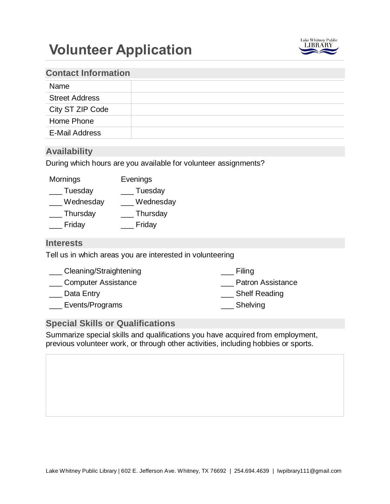# **Volunteer Application**



## **Contact Information**

| Name                  |  |
|-----------------------|--|
| <b>Street Address</b> |  |
| City ST ZIP Code      |  |
| Home Phone            |  |
| <b>E-Mail Address</b> |  |

## **Availability**

During which hours are you available for volunteer assignments?

| Mornings  | Evenings  |
|-----------|-----------|
| Tuesday   | Tuesday   |
| Wednesday | Wednesday |
| Thursday  | Thursday  |
| Friday    | Friday    |
|           |           |

#### **Interests**

Tell us in which areas you are interested in volunteering

| Filing                   |
|--------------------------|
| <b>Patron Assistance</b> |
| Shelf Reading            |
| Shelving                 |
|                          |

## **Special Skills or Qualifications**

Summarize special skills and qualifications you have acquired from employment, previous volunteer work, or through other activities, including hobbies or sports.